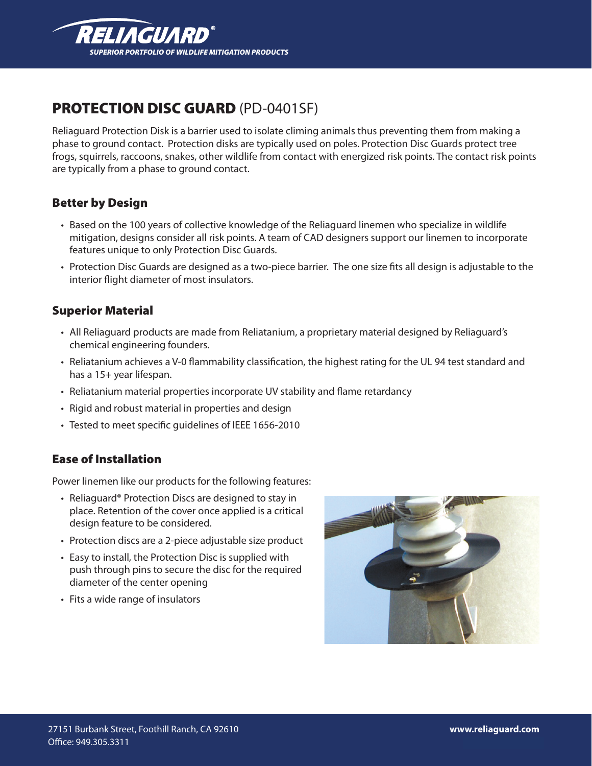

# PROTECTION DISC GUARD (PD-0401SF)

Reliaguard Protection Disk is a barrier used to isolate climing animals thus preventing them from making a phase to ground contact. Protection disks are typically used on poles. Protection Disc Guards protect tree frogs, squirrels, raccoons, snakes, other wildlife from contact with energized risk points. The contact risk points are typically from a phase to ground contact.

### Better by Design

- • Based on the 100 years of collective knowledge of the Reliaguard linemen who specialize in wildlife mitigation, designs consider all risk points. A team of CAD designers support our linemen to incorporate features unique to only Protection Disc Guards.
- • Protection Disc Guards are designed as a two-piece barrier. The one size fits all design is adjustable to the interior flight diameter of most insulators.

#### Superior Material

- • All Reliaguard products are made from Reliatanium, a proprietary material designed by Reliaguard's chemical engineering founders.
- Reliatanium achieves a V-0 flammability classification, the highest rating for the UL 94 test standard and has a 15+ year lifespan.
- • Reliatanium material properties incorporate UV stability and flame retardancy
- Rigid and robust material in properties and design
- Tested to meet specific guidelines of IEEE 1656-2010

#### Ease of Installation

Power linemen like our products for the following features:

- Reliaguard® Protection Discs are designed to stay in place. Retention of the cover once applied is a critical design feature to be considered.
- Protection discs are a 2-piece adjustable size product
- Easy to install, the Protection Disc is supplied with push through pins to secure the disc for the required diameter of the center opening
- Fits a wide range of insulators